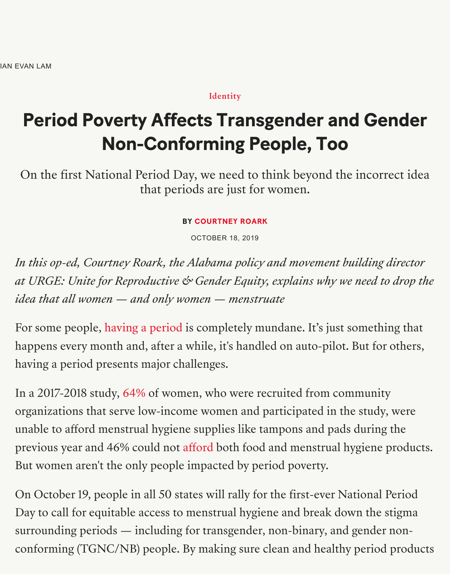Identity

## **Period Poverty Affects Transgender and Generation Non-Conforming People, Too**

On the first National Period Day, [we need](https://www.teenvogue.com/wellness) to think beyond the incorrect idea. that periods are just for women.

**BY COURTNEY ROARK**

OCTOBER 18, 2019

In this op-ed, Courtney Roark, the Alabama policy and movement building *at URGE: Unite for Reproductive*  $\&$  *Gender Equity, explains why we need to idea that all women — and only wo[men — menstru](https://www.teenvogue.com/contributor/courtney-roark)ate*

For some people, having a period is completely mundane. It's just something happens every month and, after a while, it's handled on auto-pilot. But fo having a period presents major challenges.

In a 2017-2018 study, 64% of women, who were recruited from community organizations tha[t serve low-incom](https://www.teenvogue.com/tag/periods)e women and participated in the study unable to afford menstrual hygiene supplies like tampons and pads during previous year and 46% could not afford both food and menstrual hygiene But women aren't the [only](https://journals.lww.com/greenjournal/Abstract/publishahead/Unmet_Menstrual_Hygiene_Needs_Among_Low_Income.97833.aspx) people impacted by period poverty.

On October 19, people in all 50 states will rally for the first-ever National Day to call for equitable access to menstrual hygiene and break down the surrounding periods — including [for tra](https://www.teenvogue.com/story/homelessness-and-periods)nsgender, non-binary, and gender conforming (TGNC/NB) people. By making sure clean and healthy period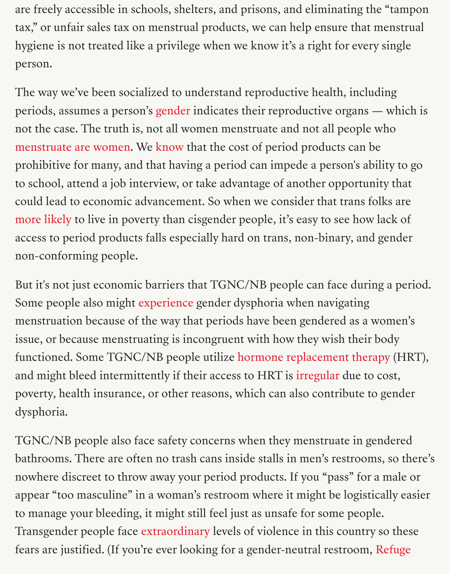The way we've been socialized to understand reproductive health, including periods, assumes a person's gender indicates their reproductive organs not the case. The truth is, not all women menstruate and not all people who menstruate are women. We know that the cost of period products can be prohibitive for many, and that having a period can impede a person's abil to school, attend a job inter[view, or](https://www.teenvogue.com/gallery/toni-the-tampon-coloring-book-changes-talk-about-period) take advantage of another opportunit could lead to economic advancement. So when we consider that trans fol [more likely to live in po](https://www.teenvogue.com/story/period-underwear-transgender-men)vert[y than](https://www.teenvogue.com/story/homelessness-and-periods) cisgender people, it's easy to see how la access to period products falls especially hard on trans, non-binary, and g non-conforming people.

But it's not just economic barriers that TGNC/NB people can face during [Some peopl](https://www.thetaskforce.org/povertyreport/)e also might experience gender dysphoria when navigating menstruation because of the way that periods have been gendered as a women's issue, or because menstruating is incongruent with how they wish their bo functioned. Some TGNC/NB people utilize hormone replacement therap and might bleed intermi[ttently if the](https://www.self.com/story/male-period-trans-model-kenny-jones)ir access to HRT is irregular due to c poverty, health insurance, or other reasons, which can also contribute to g dysphoria.

TGNC/NB people also face safety concerns when they menstruate in gene bathrooms. There are often no trash cans inside stalls i[n men's re](https://www.ncbi.nlm.nih.gov/pmc/articles/PMC5627670/)strooms nowhere discreet to throw away your period products. If you "pass" for a appear "too masculine" in a woman's restroom where it might be logistically to manage your bleeding, it might still feel just as unsafe for some people. Transgender people face extraordinary levels of violence in this country s fears are justified. (If you're ever looking for a gender-neutral restroom, R